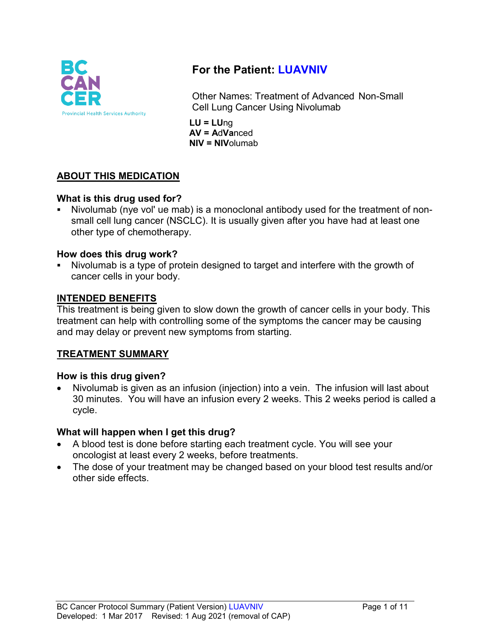

# **For the Patient: LUAVNIV**

Other Names: Treatment of Advanced Non-Small Cell Lung Cancer Using Nivolumab

**LU = LU**ng **AV = A**d**Va**nced **NIV = NIV**olumab

## **ABOUT THIS MEDICATION**

## **What is this drug used for?**

 Nivolumab (nye vol' ue mab) is a monoclonal antibody used for the treatment of nonsmall cell lung cancer (NSCLC). It is usually given after you have had at least one other type of chemotherapy.

#### **How does this drug work?**

 Nivolumab is a type of protein designed to target and interfere with the growth of cancer cells in your body.

#### **INTENDED BENEFITS**

This treatment is being given to slow down the growth of cancer cells in your body. This treatment can help with controlling some of the symptoms the cancer may be causing and may delay or prevent new symptoms from starting.

## **TREATMENT SUMMARY**

#### **How is this drug given?**

• Nivolumab is given as an infusion (injection) into a vein. The infusion will last about 30 minutes. You will have an infusion every 2 weeks. This 2 weeks period is called a cycle.

## **What will happen when I get this drug?**

- A blood test is done before starting each treatment cycle. You will see your oncologist at least every 2 weeks, before treatments.
- The dose of your treatment may be changed based on your blood test results and/or other side effects.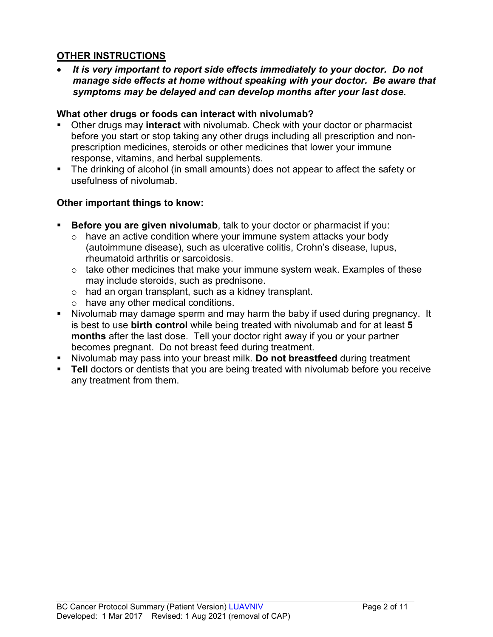## **OTHER INSTRUCTIONS**

• *It is very important to report side effects immediately to your doctor. Do not manage side effects at home without speaking with your doctor. Be aware that symptoms may be delayed and can develop months after your last dose.*

### **What other drugs or foods can interact with nivolumab?**

- Other drugs may **interact** with nivolumab. Check with your doctor or pharmacist before you start or stop taking any other drugs including all prescription and nonprescription medicines, steroids or other medicines that lower your immune response, vitamins, and herbal supplements.
- The drinking of alcohol (in small amounts) does not appear to affect the safety or usefulness of nivolumab.

## **Other important things to know:**

- **Before you are given nivolumab**, talk to your doctor or pharmacist if you:
	- $\circ$  have an active condition where your immune system attacks your body (autoimmune disease), such as ulcerative colitis, Crohn's disease, lupus, rheumatoid arthritis or sarcoidosis.
	- o take other medicines that make your immune system weak. Examples of these may include steroids, such as prednisone.
	- o had an organ transplant, such as a kidney transplant.
	- o have any other medical conditions.
- Nivolumab may damage sperm and may harm the baby if used during pregnancy. It is best to use **birth control** while being treated with nivolumab and for at least **5 months** after the last dose. Tell your doctor right away if you or your partner becomes pregnant. Do not breast feed during treatment.
- Nivolumab may pass into your breast milk. **Do not breastfeed** during treatment
- **Tell** doctors or dentists that you are being treated with nivolumab before you receive any treatment from them.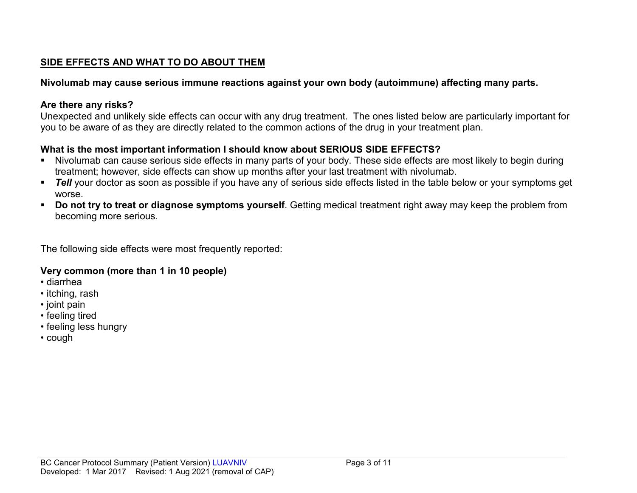## **SIDE EFFECTS AND WHAT TO DO ABOUT THEM**

## **Nivolumab may cause serious immune reactions against your own body (autoimmune) affecting many parts.**

## **Are there any risks?**

Unexpected and unlikely side effects can occur with any drug treatment. The ones listed below are particularly important for you to be aware of as they are directly related to the common actions of the drug in your treatment plan.

## **What is the most important information I should know about SERIOUS SIDE EFFECTS?**

- Nivolumab can cause serious side effects in many parts of your body. These side effects are most likely to begin during treatment; however, side effects can show up months after your last treatment with nivolumab.
- **Tell** your doctor as soon as possible if you have any of serious side effects listed in the table below or your symptoms get worse.
- **Do not try to treat or diagnose symptoms yourself**. Getting medical treatment right away may keep the problem from becoming more serious.

The following side effects were most frequently reported:

## **Very common (more than 1 in 10 people)**

- diarrhea
- itching, rash
- joint pain
- feeling tired
- feeling less hungry
- cough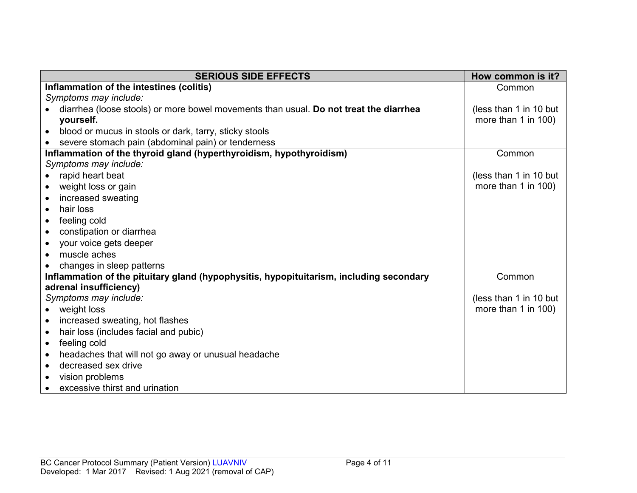| <b>SERIOUS SIDE EFFECTS</b>                                                             | How common is it?      |
|-----------------------------------------------------------------------------------------|------------------------|
| Inflammation of the intestines (colitis)                                                | Common                 |
| Symptoms may include:                                                                   |                        |
| diarrhea (loose stools) or more bowel movements than usual. Do not treat the diarrhea   | (less than 1 in 10 but |
| yourself.                                                                               | more than 1 in 100)    |
| blood or mucus in stools or dark, tarry, sticky stools<br>$\bullet$                     |                        |
| severe stomach pain (abdominal pain) or tenderness                                      |                        |
| Inflammation of the thyroid gland (hyperthyroidism, hypothyroidism)                     | Common                 |
| Symptoms may include:                                                                   |                        |
| rapid heart beat<br>$\bullet$                                                           | (less than 1 in 10 but |
| weight loss or gain<br>$\bullet$                                                        | more than 1 in 100)    |
| increased sweating                                                                      |                        |
| hair loss<br>$\bullet$                                                                  |                        |
| feeling cold<br>$\bullet$                                                               |                        |
| constipation or diarrhea<br>$\bullet$                                                   |                        |
| your voice gets deeper<br>$\bullet$                                                     |                        |
| muscle aches                                                                            |                        |
| changes in sleep patterns                                                               |                        |
| Inflammation of the pituitary gland (hypophysitis, hypopituitarism, including secondary | Common                 |
| adrenal insufficiency)                                                                  |                        |
| Symptoms may include:                                                                   | (less than 1 in 10 but |
| weight loss<br>$\bullet$                                                                | more than 1 in 100)    |
| increased sweating, hot flashes<br>$\bullet$                                            |                        |
| hair loss (includes facial and pubic)<br>$\bullet$                                      |                        |
| feeling cold<br>$\bullet$                                                               |                        |
| headaches that will not go away or unusual headache<br>$\bullet$                        |                        |
| decreased sex drive<br>$\bullet$                                                        |                        |
| vision problems                                                                         |                        |
| excessive thirst and urination                                                          |                        |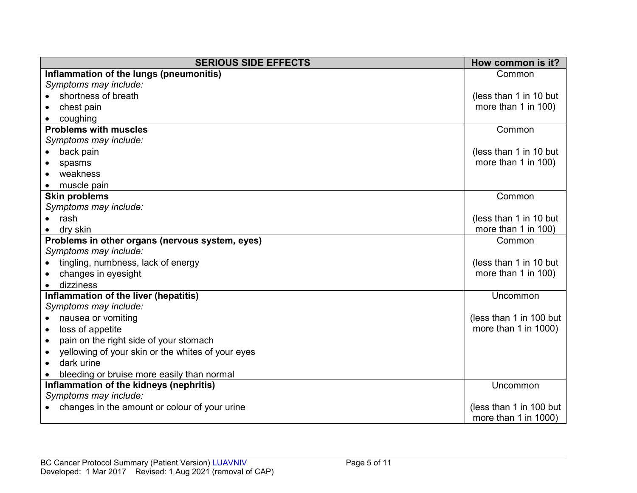| <b>SERIOUS SIDE EFFECTS</b>                                    | How common is it?       |
|----------------------------------------------------------------|-------------------------|
| Inflammation of the lungs (pneumonitis)                        | Common                  |
| Symptoms may include:                                          |                         |
| shortness of breath                                            | (less than 1 in 10 but  |
| chest pain                                                     | more than 1 in 100)     |
| coughing                                                       |                         |
| <b>Problems with muscles</b>                                   | Common                  |
| Symptoms may include:                                          |                         |
| back pain                                                      | (less than 1 in 10 but  |
| spasms                                                         | more than 1 in 100)     |
| weakness                                                       |                         |
| muscle pain                                                    |                         |
| <b>Skin problems</b>                                           | Common                  |
| Symptoms may include:                                          |                         |
| rash                                                           | (less than 1 in 10 but  |
| dry skin                                                       | more than 1 in 100)     |
| Problems in other organs (nervous system, eyes)                | Common                  |
| Symptoms may include:                                          |                         |
| tingling, numbness, lack of energy                             | (less than 1 in 10 but  |
| changes in eyesight                                            | more than 1 in 100)     |
| dizziness                                                      |                         |
| Inflammation of the liver (hepatitis)                          | Uncommon                |
| Symptoms may include:                                          |                         |
| nausea or vomiting<br>$\bullet$                                | (less than 1 in 100 but |
| loss of appetite<br>$\bullet$                                  | more than 1 in 1000)    |
| pain on the right side of your stomach<br>$\bullet$            |                         |
| yellowing of your skin or the whites of your eyes<br>$\bullet$ |                         |
| dark urine<br>$\bullet$                                        |                         |
| bleeding or bruise more easily than normal                     |                         |
| Inflammation of the kidneys (nephritis)                        | Uncommon                |
| Symptoms may include:                                          |                         |
| changes in the amount or colour of your urine                  | (less than 1 in 100 but |
|                                                                | more than 1 in 1000)    |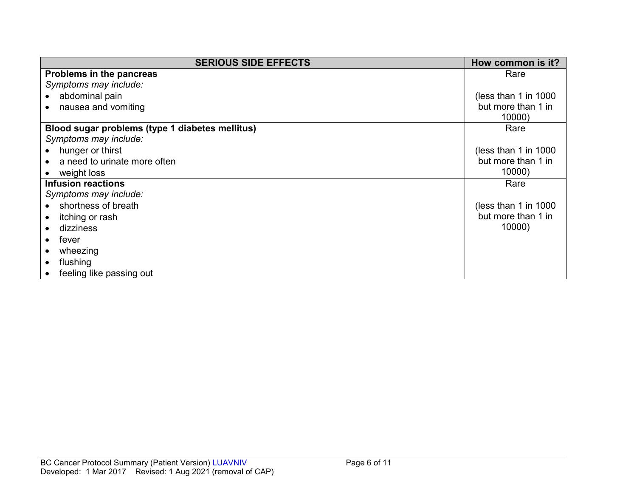| <b>SERIOUS SIDE EFFECTS</b>                     | How common is it?      |
|-------------------------------------------------|------------------------|
| Problems in the pancreas                        | Rare                   |
| Symptoms may include:                           |                        |
| abdominal pain                                  | (less than 1 in $1000$ |
| nausea and vomiting                             | but more than 1 in     |
|                                                 | 10000)                 |
| Blood sugar problems (type 1 diabetes mellitus) | Rare                   |
| Symptoms may include:                           |                        |
| hunger or thirst                                | (less than 1 in $1000$ |
| a need to urinate more often                    | but more than 1 in     |
| weight loss                                     | 10000)                 |
| <b>Infusion reactions</b>                       | Rare                   |
| Symptoms may include:                           |                        |
| shortness of breath                             | (less than 1 in 1000)  |
| itching or rash                                 | but more than 1 in     |
| dizziness                                       | 10000)                 |
| fever                                           |                        |
| wheezing                                        |                        |
| flushing                                        |                        |
| feeling like passing out                        |                        |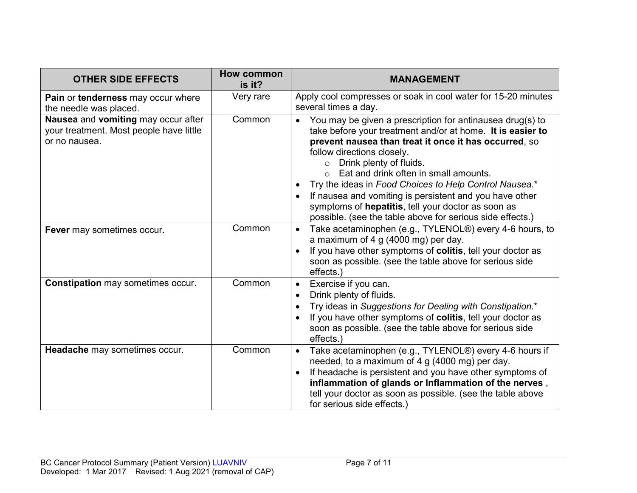| <b>OTHER SIDE EFFECTS</b>                                                                       | How common<br>is it? | <b>MANAGEMENT</b>                                                                                                                                                                                                                                                                                                                                                                                                                                                                                                                                  |
|-------------------------------------------------------------------------------------------------|----------------------|----------------------------------------------------------------------------------------------------------------------------------------------------------------------------------------------------------------------------------------------------------------------------------------------------------------------------------------------------------------------------------------------------------------------------------------------------------------------------------------------------------------------------------------------------|
| Pain or tenderness may occur where<br>the needle was placed.                                    | Very rare            | Apply cool compresses or soak in cool water for 15-20 minutes<br>several times a day.                                                                                                                                                                                                                                                                                                                                                                                                                                                              |
| Nausea and vomiting may occur after<br>your treatment. Most people have little<br>or no nausea. | Common               | You may be given a prescription for antinausea drug(s) to<br>$\bullet$<br>take before your treatment and/or at home. It is easier to<br>prevent nausea than treat it once it has occurred, so<br>follow directions closely.<br>Drink plenty of fluids.<br>$\circ$<br>Eat and drink often in small amounts.<br>Try the ideas in Food Choices to Help Control Nausea.*<br>If nausea and vomiting is persistent and you have other<br>symptoms of hepatitis, tell your doctor as soon as<br>possible. (see the table above for serious side effects.) |
| Fever may sometimes occur.                                                                      | Common               | Take acetaminophen (e.g., TYLENOL®) every 4-6 hours, to<br>$\bullet$<br>a maximum of 4 g (4000 mg) per day.<br>If you have other symptoms of colitis, tell your doctor as<br>soon as possible. (see the table above for serious side<br>effects.)                                                                                                                                                                                                                                                                                                  |
| <b>Constipation may sometimes occur.</b>                                                        | Common               | Exercise if you can.<br>$\bullet$<br>Drink plenty of fluids.<br>Try ideas in Suggestions for Dealing with Constipation.*<br>If you have other symptoms of colitis, tell your doctor as<br>soon as possible. (see the table above for serious side<br>effects.)                                                                                                                                                                                                                                                                                     |
| Headache may sometimes occur.                                                                   | Common               | Take acetaminophen (e.g., TYLENOL®) every 4-6 hours if<br>$\bullet$<br>needed, to a maximum of 4 g (4000 mg) per day.<br>If headache is persistent and you have other symptoms of<br>inflammation of glands or Inflammation of the nerves,<br>tell your doctor as soon as possible. (see the table above<br>for serious side effects.)                                                                                                                                                                                                             |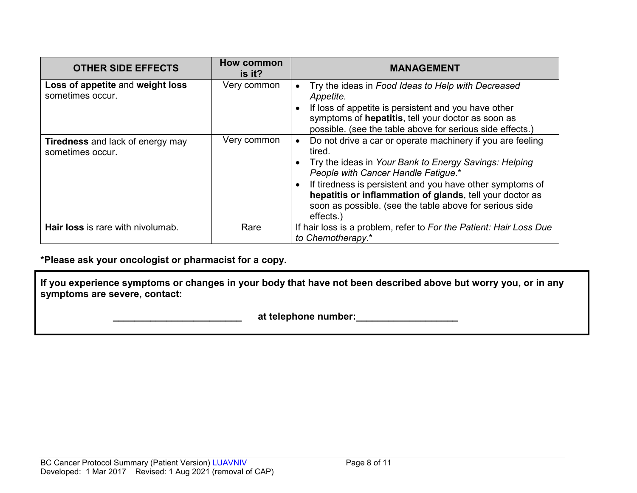| <b>OTHER SIDE EFFECTS</b>                                   | <b>How common</b><br>is it? | <b>MANAGEMENT</b>                                                                                                                                                                                                                                                                                                                                                    |
|-------------------------------------------------------------|-----------------------------|----------------------------------------------------------------------------------------------------------------------------------------------------------------------------------------------------------------------------------------------------------------------------------------------------------------------------------------------------------------------|
| Loss of appetite and weight loss<br>sometimes occur.        | Very common                 | Try the ideas in Food Ideas to Help with Decreased<br>Appetite.<br>If loss of appetite is persistent and you have other<br>symptoms of hepatitis, tell your doctor as soon as<br>possible. (see the table above for serious side effects.)                                                                                                                           |
| <b>Tiredness</b> and lack of energy may<br>sometimes occur. | Very common                 | Do not drive a car or operate machinery if you are feeling<br>tired.<br>Try the ideas in Your Bank to Energy Savings: Helping<br>People with Cancer Handle Fatigue.*<br>If tiredness is persistent and you have other symptoms of<br>hepatitis or inflammation of glands, tell your doctor as<br>soon as possible. (see the table above for serious side<br>effects. |
| Hair loss is rare with nivolumab.                           | Rare                        | If hair loss is a problem, refer to For the Patient: Hair Loss Due<br>to Chemotherapy.*                                                                                                                                                                                                                                                                              |

**\*Please ask your oncologist or pharmacist for a copy.**

**If you experience symptoms or changes in your body that have not been described above but worry you, or in any symptoms are severe, contact:**

 **\_\_\_\_\_\_\_\_\_\_\_\_\_\_\_\_\_\_\_\_\_\_\_\_ at telephone number:\_\_\_\_\_\_\_\_\_\_\_\_\_\_\_\_\_\_\_**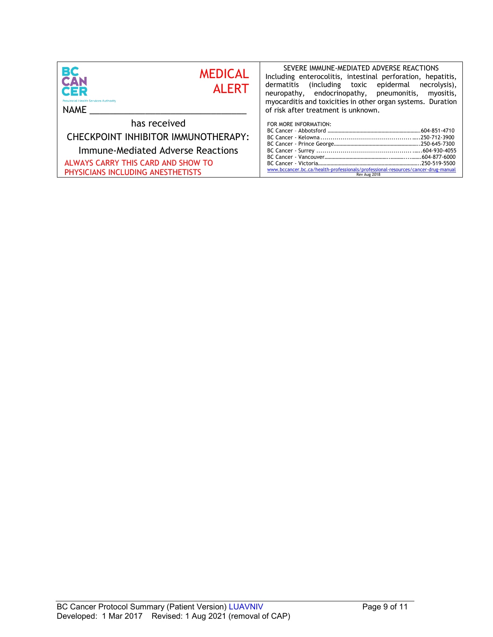| BC<br><b>MEDICAL</b><br><b>CAN</b><br><b>ALERT</b><br>CER<br><b>Provincial Health Services Authority</b><br>NAME | SEVERE IMMUNE-MEDIATED ADVERSE REACTIONS<br>Including enterocolitis, intestinal perforation, hepatitis,<br>(including toxic epidermal necrolysis),<br>dermatitis<br>neuropathy, endocrinopathy, pneumonitis,<br>myositis,<br>myocarditis and toxicities in other organ systems. Duration<br>of risk after treatment is unknown. |
|------------------------------------------------------------------------------------------------------------------|---------------------------------------------------------------------------------------------------------------------------------------------------------------------------------------------------------------------------------------------------------------------------------------------------------------------------------|
| has received<br>CHECKPOINT INHIBITOR IMMUNOTHERAPY:                                                              | FOR MORE INFORMATION:                                                                                                                                                                                                                                                                                                           |
| Immune-Mediated Adverse Reactions                                                                                |                                                                                                                                                                                                                                                                                                                                 |
| ALWAYS CARRY THIS CARD AND SHOW TO<br>PHYSICIANS INCLUDING ANESTHETISTS                                          | www.bccancer.bc.ca/health-professionals/professional-resources/cancer-drug-manual<br>Rev Aug 2018                                                                                                                                                                                                                               |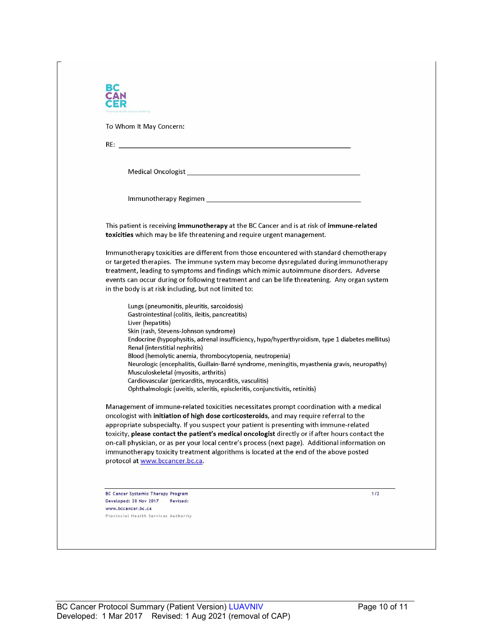| To Whom It May Concern:                                                                                                                                                                                                                                                                                                                                                            |
|------------------------------------------------------------------------------------------------------------------------------------------------------------------------------------------------------------------------------------------------------------------------------------------------------------------------------------------------------------------------------------|
|                                                                                                                                                                                                                                                                                                                                                                                    |
|                                                                                                                                                                                                                                                                                                                                                                                    |
|                                                                                                                                                                                                                                                                                                                                                                                    |
|                                                                                                                                                                                                                                                                                                                                                                                    |
| This patient is receiving immunotherapy at the BC Cancer and is at risk of immune-related<br>toxicities which may be life threatening and require urgent management.                                                                                                                                                                                                               |
| Immunotherapy toxicities are different from those encountered with standard chemotherapy<br>or targeted therapies. The immune system may become dysregulated during immunotherapy<br>treatment, leading to symptoms and findings which mimic autoimmune disorders. Adverse<br>events can occur during or following treatment and can be life threatening. Any organ system         |
| in the body is at risk including, but not limited to:                                                                                                                                                                                                                                                                                                                              |
| Lungs (pneumonitis, pleuritis, sarcoidosis)<br>Gastrointestinal (colitis, ileitis, pancreatitis)<br>Liver (hepatitis)                                                                                                                                                                                                                                                              |
| Skin (rash, Stevens-Johnson syndrome)<br>Endocrine (hypophysitis, adrenal insufficiency, hypo/hyperthyroidism, type 1 diabetes mellitus)<br>Renal (interstitial nephritis)                                                                                                                                                                                                         |
| Blood (hemolytic anemia, thrombocytopenia, neutropenia)<br>Neurologic (encephalitis, Guillain-Barré syndrome, meningitis, myasthenia gravis, neuropathy)<br>Musculoskeletal (myositis, arthritis)                                                                                                                                                                                  |
| Cardiovascular (pericarditis, myocarditis, vasculitis)<br>Ophthalmologic (uveitis, scleritis, episcleritis, conjunctivitis, retinitis)                                                                                                                                                                                                                                             |
| Management of immune-related toxicities necessitates prompt coordination with a medical<br>oncologist with initiation of high dose corticosteroids, and may require referral to the<br>appropriate subspecialty. If you suspect your patient is presenting with immune-related<br>toxicity, please contact the patient's medical oncologist directly or if after hours contact the |
| on-call physician, or as per your local centre's process (next page). Additional information on<br>immunotherapy toxicity treatment algorithms is located at the end of the above posted<br>protocol at www.bccancer.bc.ca.                                                                                                                                                        |
|                                                                                                                                                                                                                                                                                                                                                                                    |